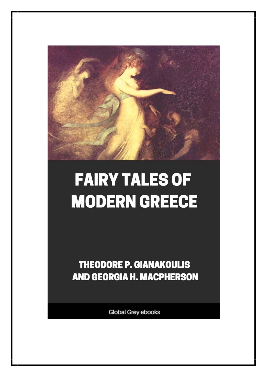

# **FAIRY TALES OF MODERN GREECE**

**THEODORE P. GIANAKOULIS AND GEORGIA H. MACPHERSON** 

**Global Grey ebooks**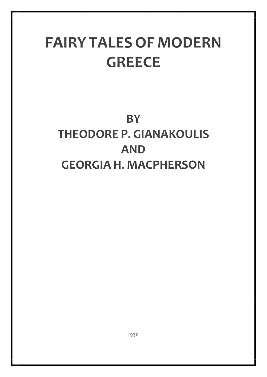## **FAIRY TALES OF MODERN GREECE**

## **BY THEODORE P. GIANAKOULIS AND GEORGIA H. MACPHERSON**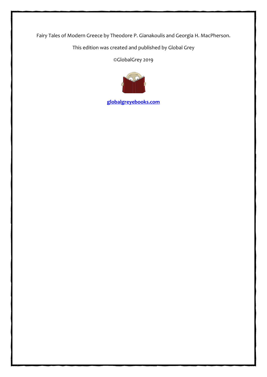Fairy Tales of Modern Greece by Theodore P. Gianakoulis and Georgia H. MacPherson.

This edition was created and published by Global Grey

©GlobalGrey 2019



**[globalgreyebooks.com](https://www.globalgreyebooks.com/index.html)**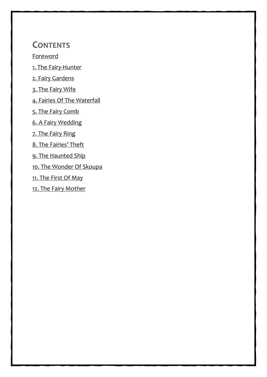**CONTENTS**

[Foreword](#page-4-0)

[1. The Fairy-Hunter](#page-9-0)

[2. Fairy Gardens](#page-13-0)

[3. The Fairy Wife](#page-18-0)

[4. Fairies Of The Waterfall](#page-25-0)

[5. The Fairy Comb](#page-30-0)

[6. A Fairy Wedding](#page-34-0)

[7. The Fairy Ring](#page-37-0)

[8. The Fairies' Theft](#page-43-0)

[9. The Haunted Ship](#page-48-0)

[10. The Wonder Of Skoupa](#page-53-0)

[11. The First Of May](#page-56-0)

[12. The Fairy Mother](#page-61-0)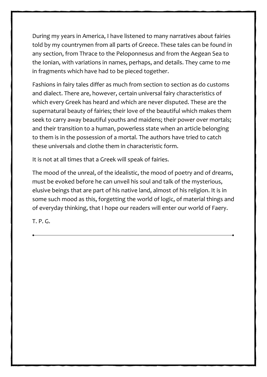During my years in America, I have listened to many narratives about fairies told by my countrymen from all parts of Greece. These tales can be found in any section, from Thrace to the Peloponnesus and from the Aegean Sea to the Ionian, with variations in names, perhaps, and details. They came to me in fragments which have had to be pieced together.

Fashions in fairy tales differ as much from section to section as do customs and dialect. There are, however, certain universal fairy characteristics of which every Greek has heard and which are never disputed. These are the supernatural beauty of fairies; their love of the beautiful which makes them seek to carry away beautiful youths and maidens; their power over mortals; and their transition to a human, powerless state when an article belonging to them is in the possession of a mortal. The authors have tried to catch these universals and clothe them in characteristic form.

It is not at all times that a Greek will speak of fairies.

The mood of the unreal, of the idealistic, the mood of poetry and of dreams, must be evoked before he can unveil his soul and talk of the mysterious, elusive beings that are part of his native land, almost of his religion. It is in some such mood as this, forgetting the world of logic, of material things and of everyday thinking, that I hope our readers will enter our world of Faery.

T. P. G.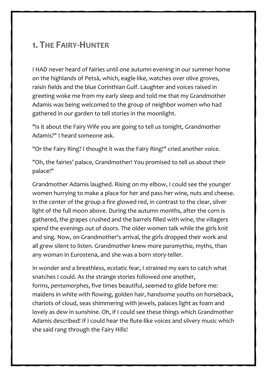#### <span id="page-9-0"></span>**1. THE FAIRY-HUNTER**

I HAD never heard of fairies until one autumn evening in our summer home on the highlands of Petsà, which, eagle-like, watches over olive groves, raisin fields and the blue Corinthian Gulf. Laughter and voices raised in greeting woke me from my early sleep and told me that my Grandmother Adamis was being welcomed to the group of neighbor women who had gathered in our garden to tell stories in the moonlight.

6

"Is it about the Fairy Wife you are going to tell us tonight, Grandmother Adamis?" I heard someone ask.

"Or the Fairy Ring? I thought it was the Fairy Ring!" cried another voice.

"Oh, the fairies' palace, Grandmother! You promised to tell us about their palace!"

Grandmother Adamis laughed. Rising on my elbow, I could see the younger women hurrying to make a place for her and pass her wine, nuts and cheese. In the center of the group a fire glowed red, in contrast to the clear, silver light of the full moon above. During the autumn months, after the corn is gathered, the grapes crushed and the barrels filled with wine, the villagers spend the evenings out of doors. The older women talk while the girls knit and sing. Now, on Grandmother's arrival, the girls dropped their work and all grew silent to listen. Grandmother knew more *paramythia*, myths, than any woman in Eurostena, and she was a born story-teller.

In wonder and a breathless, ecstatic fear, I strained my ears to catch what snatches I could. As the strange stories followed one another, forms, *pentamorphes*, five times beautiful, seemed to glide before me: maidens in white with flowing, golden hair, handsome youths on horseback, chariots of cloud, seas shimmering with jewels, palaces light as foam and lovely as dew in sunshine. Oh, if I could see these things which Grandmother Adamis described! If I could hear the flute-like voices and silvery music which she said rang through the Fairy Hills!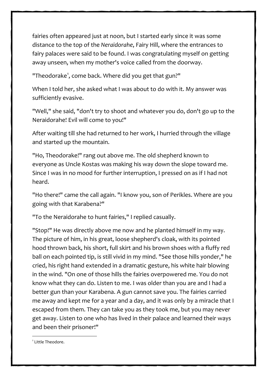fairies often appeared just at noon, but I started early since it was some distance to the top of the *Neraidorahe*, Fairy Hill, where the entrances to fairy palaces were said to be found. I was congratulating myself on getting away unseen, when my mother's voice called from the doorway.

"Theodorake<sup>[1](#page-11-0)</sup>, come back. Where did you get that gun?"

When I told her, she asked what I was about to do with it. My answer was sufficiently evasive.

"Well," she said, "don't try to shoot and whatever you do, don't go up to the Neraidorahe! Evil will come to you!"

After waiting till she had returned to her work, I hurried through the village and started up the mountain.

"Ho, Theodorake!" rang out above me. The old shepherd known to everyone as Uncle Kostas was making his way down the slope toward me. Since I was in no mood for further interruption, I pressed on as if I had not heard.

"Ho there!" came the call again. "I know you, son of Perikles. Where are you going with that Karabena?"

"To the Neraidorahe to hunt fairies," I replied casually.

"Stop!" He was directly above me now and he planted himself in my way. The picture of him, in his great, loose shepherd's cloak, with its pointed hood thrown back, his short, full skirt and his brown shoes with a fluffy red ball on each pointed tip, is still vivid in my mind. "See those hills yonder," he cried, his right hand extended in a dramatic gesture, his white hair blowing in the wind. "On one of those hills the fairies overpowered me. You do not know what they can do. Listen to me. I was older than you are and I had a better gun than your Karabena. A gun cannot save you. The fairies carried me away and kept me for a year and a day, and it was only by a miracle that I escaped from them. They can take you as they took me, but you may never get away. Listen to one who has lived in their palace and learned their ways and been their prisoner!"

<span id="page-11-0"></span><sup>1</sup> Little Theodore.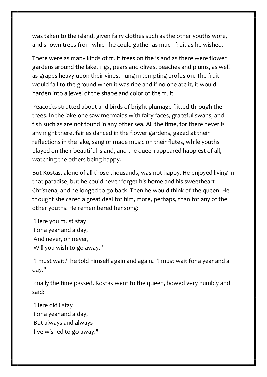was taken to the island, given fairy clothes such as the other youths wore, and shown trees from which he could gather as much fruit as he wished.

There were as many kinds of fruit trees on the island as there were flower gardens around the lake. Figs, pears and olives, peaches and plums, as well as grapes heavy upon their vines, hung in tempting profusion. The fruit would fall to the ground when it was ripe and if no one ate it, it would harden into a jewel of the shape and color of the fruit.

Peacocks strutted about and birds of bright plumage flitted through the trees. In the lake one saw mermaids with fairy faces, graceful swans, and fish such as are not found in any other sea. All the time, for there never is any night there, fairies danced in the flower gardens, gazed at their reflections in the lake, sang or made music on their flutes, while youths played on their beautiful island, and the queen appeared happiest of all, watching the others being happy.

But Kostas, alone of all those thousands, was not happy. He enjoyed living in that paradise, but he could never forget his home and his sweetheart Christena, and he longed to go back. Then he would think of the queen. He thought she cared a great deal for him, more, perhaps, than for any of the other youths. He remembered her song:

"Here you must stay For a year and a day, And never, oh never, Will you wish to go away."

"I must wait," he told himself again and again. "I must wait for a year and a day."

Finally the time passed. Kostas went to the queen, bowed very humbly and said:

"Here did I stay For a year and a day, But always and always I've wished to go away." 12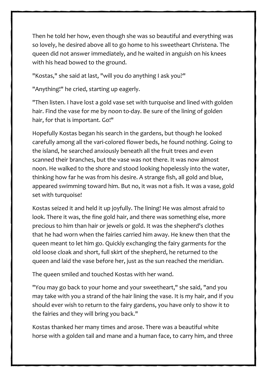Then he told her how, even though she was so beautiful and everything was so lovely, he desired above all to go home to his sweetheart Christena. The queen did not answer immediately, and he waited in anguish on his knees with his head bowed to the ground.

"Kostas," she said at last, "will you do anything I ask you?"

"Anything!" he cried, starting up eagerly.

"Then listen. I have lost a gold vase set with turquoise and lined with golden hair. Find the vase for me by noon to-day. Be sure of the lining of golden hair, for that is important. Go!"

Hopefully Kostas began his search in the gardens, but though he looked carefully among all the vari-colored flower beds, he found nothing. Going to the island, he searched anxiously beneath all the fruit trees and even scanned their branches, but the vase was not there. It was now almost noon. He walked to the shore and stood looking hopelessly into the water, thinking how far he was from his desire. A strange fish, all gold and blue, appeared swimming toward him. But no, it was not a fish. It was a vase, gold set with turquoise!

Kostas seized it and held it up joyfully. The lining! He was almost afraid to look. There it was, the fine gold hair, and there was something else, more precious to him than hair or jewels or gold. It was the shepherd's clothes that he had worn when the fairies carried him away. He knew then that the queen meant to let him go. Quickly exchanging the fairy garments for the old loose cloak and short, full skirt of the shepherd, he returned to the queen and laid the vase before her, just as the sun reached the meridian.

The queen smiled and touched Kostas with her wand.

"You may go back to your home and your sweetheart," she said, "and you may take with you a strand of the hair lining the vase. It is my hair, and if you should ever wish to return to the fairy gardens, you have only to show it to the fairies and they will bring you back."

Kostas thanked her many times and arose. There was a beautiful white horse with a golden tail and mane and a human face, to carry him, and three

13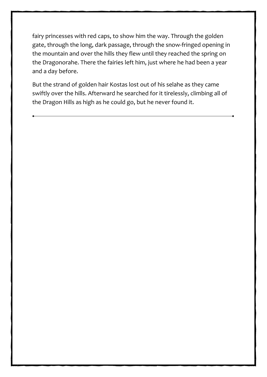fairy princesses with red caps, to show him the way. Through the golden gate, through the long, dark passage, through the snow-fringed opening in the mountain and over the hills they flew until they reached the spring on the Dragonorahe. There the fairies left him, just where he had been a year and a day before.

But the strand of golden hair Kostas lost out of his selahe as they came swiftly over the hills. Afterward he searched for it tirelessly, climbing all of the Dragon Hills as high as he could go, but he never found it.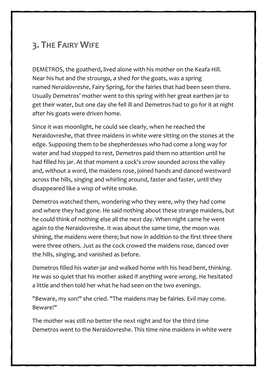### <span id="page-18-0"></span>**3. THE FAIRY WIFE**

DEMETROS, the goatherd, lived alone with his mother on the Keafa Hill. Near his hut and the *strounga*, a shed for the goats, was a spring named *Neraidovreshe*, Fairy Spring, for the fairies that had been seen there. Usually Demetros' mother went to this spring with her great earthen jar to get their water, but one day she fell ill and Demetros had to go for it at night after his goats were driven home.

Since it was moonlight, he could see clearly, when he reached the Neraidovreshe, that three maidens in white were sitting on the stones at the edge. Supposing them to be shepherdesses who had come a long way for water and had stopped to rest, Demetros paid them no attention until he had filled his jar. At that moment a cock's crow sounded across the valley and, without a word, the maidens rose, joined hands and danced westward across the hills, singing and whirling around, faster and faster, until they disappeared like a wisp of white smoke.

Demetros watched them, wondering who they were, why they had come and where they had gone. He said nothing about these strange maidens, but he could think of nothing else all the next day. When night came he went again to the Neraidovreshe. It was about the same time, the moon was shining, the maidens were there; but now in addition to the first three there were three others. Just as the cock crowed the maidens rose, danced over the hills, singing, and vanished as before.

Demetros filled his water-jar and walked home with his head bent, thinking. He was so quiet that his mother asked if anything were wrong. He hesitated a little and then told her what he had seen on the two evenings.

"Beware, my son!" she cried. "The maidens may be fairies. Evil may come. Beware!"

The mother was still no better the next night and for the third time Demetros went to the Neraidovreshe. This time nine maidens in white were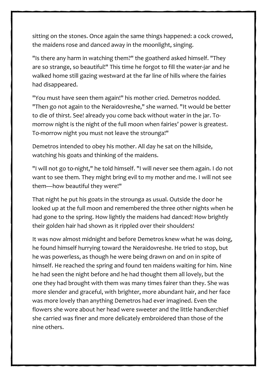sitting on the stones. Once again the same things happened: a cock crowed, the maidens rose and danced away in the moonlight, singing.

"Is there any harm in watching them?" the goatherd asked himself. "They are so strange, so beautiful!" This time he forgot to fill the water-jar and he walked home still gazing westward at the far line of hills where the fairies had disappeared.

"You must have seen them again!" his mother cried. Demetros nodded. "Then go not again to the Neraidovreshe," she warned. "It would be better to die of thirst. See! already you come back without water in the jar. Tomorrow night is the night of the full moon when fairies' power is greatest. To-morrow night you must not leave the strounga!"

Demetros intended to obey his mother. All day he sat on the hillside, watching his goats and thinking of the maidens.

"I will not go to-night," he told himself. "I will never see them again. I do not want to see them. They might bring evil to my mother and me. I will not see them—how beautiful they were!"

That night he put his goats in the strounga as usual. Outside the door he looked up at the full moon and remembered the three other nights when he had gone to the spring. How lightly the maidens had danced! How brightly their golden hair had shown as it rippled over their shoulders!

It was now almost midnight and before Demetros knew what he was doing, he found himself hurrying toward the Neraidovreshe. He tried to stop, but he was powerless, as though he were being drawn on and on in spite of himself. He reached the spring and found ten maidens waiting for him. Nine he had seen the night before and he had thought them all lovely, but the one they had brought with them was many times fairer than they. She was more slender and graceful, with brighter, more abundant hair, and her face was more lovely than anything Demetros had ever imagined. Even the flowers she wore about her head were sweeter and the little handkerchief she carried was finer and more delicately embroidered than those of the nine others.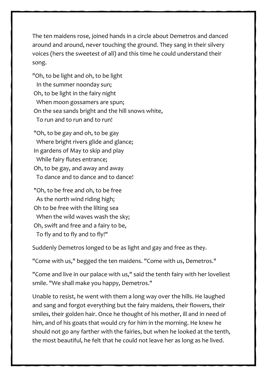The ten maidens rose, joined hands in a circle about Demetros and danced around and around, never touching the ground. They sang in their silvery voices (hers the sweetest of all) and this time he could understand their song.

"Oh, to be light and oh, to be light In the summer noonday sun; Oh, to be light in the fairy night When moon gossamers are spun; On the sea sands bright and the hill snows white, To run and to run and to run!

"Oh, to be gay and oh, to be gay Where bright rivers glide and glance; In gardens of May to skip and play While fairy flutes entrance; Oh, to be gay, and away and away To dance and to dance and to dance!

"Oh, to be free and oh, to be free As the north wind riding high; Oh to be free with the lilting sea When the wild waves wash the sky; Oh, swift and free and a fairy to be, To fly and to fly and to fly!"

Suddenly Demetros longed to be as light and gay and free as they.

"Come with us," begged the ten maidens. "Come with us, Demetros."

"Come and live in our palace with us," said the tenth fairy with her loveliest smile. "We shall make you happy, Demetros."

Unable to resist, he went with them a long way over the hills. He laughed and sang and forgot everything but the fairy maidens, their flowers, their smiles, their golden hair. Once he thought of his mother, ill and in need of him, and of his goats that would cry for him in the morning. He knew he should not go any farther with the fairies, but when he looked at the tenth, the most beautiful, he felt that he could not leave her as long as he lived.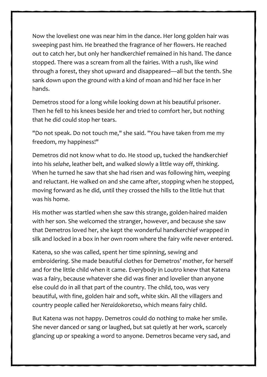Now the loveliest one was near him in the dance. Her long golden hair was sweeping past him. He breathed the fragrance of her flowers. He reached out to catch her, but only her handkerchief remained in his hand. The dance stopped. There was a scream from all the fairies. With a rush, like wind through a forest, they shot upward and disappeared—all but the tenth. She sank down upon the ground with a kind of moan and hid her face in her hands.

Demetros stood for a long while looking down at his beautiful prisoner. Then he fell to his knees beside her and tried to comfort her, but nothing that he did could stop her tears.

"Do not speak. Do not touch me," she said. "You have taken from me my freedom, my happiness!"

Demetros did not know what to do. He stood up, tucked the handkerchief into his *selahe*, leather belt, and walked slowly a little way off, thinking. When he turned he saw that she had risen and was following him, weeping and reluctant. He walked on and she came after, stopping when he stopped, moving forward as he did, until they crossed the hills to the little hut that was his home.

His mother was startled when she saw this strange, golden-haired maiden with her son. She welcomed the stranger, however, and because she saw that Demetros loved her, she kept the wonderful handkerchief wrapped in silk and locked in a box in her own room where the fairy wife never entered.

Katena, so she was called, spent her time spinning, sewing and embroidering. She made beautiful clothes for Demetros' mother, for herself and for the little child when it came. Everybody in Loutro knew that Katena was a fairy, because whatever she did was finer and lovelier than anyone else could do in all that part of the country. The child, too, was very beautiful, with fine, golden hair and soft, white skin. All the villagers and country people called her *Neraidokoretso*, which means fairy child.

But Katena was not happy. Demetros could do nothing to make her smile. She never danced or sang or laughed, but sat quietly at her work, scarcely glancing up or speaking a word to anyone. Demetros became very sad, and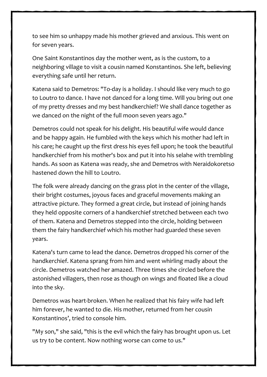to see him so unhappy made his mother grieved and anxious. This went on for seven years.

One Saint Konstantinos day the mother went, as is the custom, to a neighboring village to visit a cousin named Konstantinos. She left, believing everything safe until her return.

Katena said to Demetros: "To-day is a holiday. I should like very much to go to Loutro to dance. I have not danced for a long time. Will you bring out one of my pretty dresses and my best handkerchief? We shall dance together as we danced on the night of the full moon seven years ago."

Demetros could not speak for his delight. His beautiful wife would dance and be happy again. He fumbled with the keys which his mother had left in his care; he caught up the first dress his eyes fell upon; he took the beautiful handkerchief from his mother's box and put it into his selahe with trembling hands. As soon as Katena was ready, she and Demetros with Neraidokoretso hastened down the hill to Loutro.

The folk were already dancing on the grass plot in the center of the village, their bright costumes, joyous faces and graceful movements making an attractive picture. They formed a great circle, but instead of joining hands they held opposite corners of a handkerchief stretched between each two of them. Katena and Demetros stepped into the circle, holding between them the fairy handkerchief which his mother had guarded these seven years.

Katena's turn came to lead the dance. Demetros dropped his corner of the handkerchief. Katena sprang from him and went whirling madly about the circle. Demetros watched her amazed. Three times she circled before the astonished villagers, then rose as though on wings and floated like a cloud into the sky.

Demetros was heart-broken. When he realized that his fairy wife had left him forever, he wanted to die. His mother, returned from her cousin Konstantinos', tried to console him.

"My son," she said, "this is the evil which the fairy has brought upon us. Let us try to be content. Now nothing worse can come to us."

19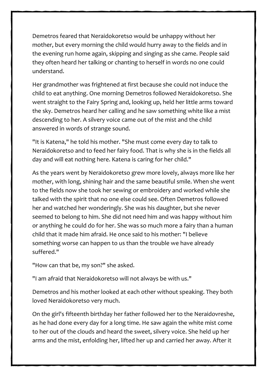Demetros feared that Neraidokoretso would be unhappy without her mother, but every morning the child would hurry away to the fields and in the evening run home again, skipping and singing as she came. People said they often heard her talking or chanting to herself in words no one could understand.

Her grandmother was frightened at first because she could not induce the child to eat anything. One morning Demetros followed Neraidokoretso. She went straight to the Fairy Spring and, looking up, held her little arms toward the sky. Demetros heard her calling and he saw something white like a mist descending to her. A silvery voice came out of the mist and the child answered in words of strange sound.

"It is Katena," he told his mother. "She must come every day to talk to Neraidokoretso and to feed her fairy food. That is why she is in the fields all day and will eat nothing here. Katena is caring for her child."

As the years went by Neraidokoretso grew more lovely, always more like her mother, with long, shining hair and the same beautiful smile. When she went to the fields now she took her sewing or embroidery and worked while she talked with the spirit that no one else could see. Often Demetros followed her and watched her wonderingly. She was his daughter, but she never seemed to belong to him. She did not need him and was happy without him or anything he could do for her. She was so much more a fairy than a human child that it made him afraid. He once said to his mother: "I believe something worse can happen to us than the trouble we have already suffered."

"How can that be, my son?" she asked.

"I am afraid that Neraidokoretso will not always be with us."

Demetros and his mother looked at each other without speaking. They both loved Neraidokoretso very much.

On the girl's fifteenth birthday her father followed her to the Neraidovreshe, as he had done every day for a long time. He saw again the white mist come to her out of the clouds and heard the sweet, silvery voice. She held up her arms and the mist, enfolding her, lifted her up and carried her away. After it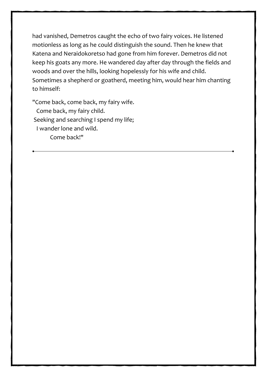had vanished, Demetros caught the echo of two fairy voices. He listened motionless as long as he could distinguish the sound. Then he knew that Katena and Neraidokoretso had gone from him forever. Demetros did not keep his goats any more. He wandered day after day through the fields and woods and over the hills, looking hopelessly for his wife and child. Sometimes a shepherd or goatherd, meeting him, would hear him chanting to himself:

"Come back, come back, my fairy wife. Come back, my fairy child. Seeking and searching I spend my life; I wander lone and wild. Come back!"